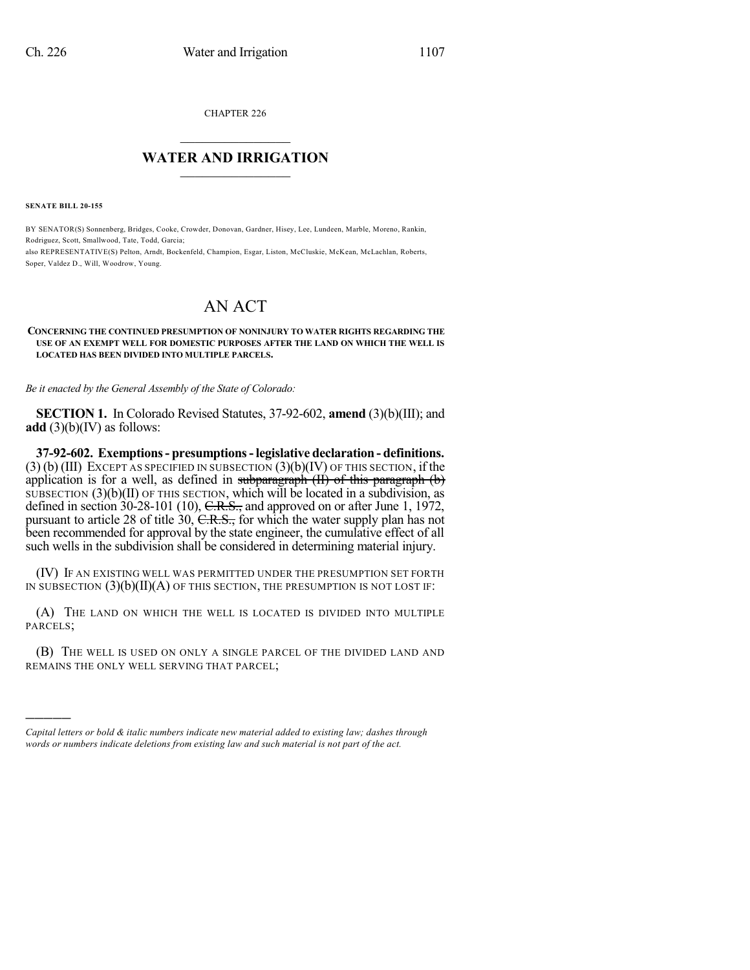CHAPTER 226

## $\mathcal{L}_\text{max}$  . The set of the set of the set of the set of the set of the set of the set of the set of the set of the set of the set of the set of the set of the set of the set of the set of the set of the set of the set **WATER AND IRRIGATION**  $\_$   $\_$

**SENATE BILL 20-155**

)))))

BY SENATOR(S) Sonnenberg, Bridges, Cooke, Crowder, Donovan, Gardner, Hisey, Lee, Lundeen, Marble, Moreno, Rankin, Rodriguez, Scott, Smallwood, Tate, Todd, Garcia; also REPRESENTATIVE(S) Pelton, Arndt, Bockenfeld, Champion, Esgar, Liston, McCluskie, McKean, McLachlan, Roberts, Soper, Valdez D., Will, Woodrow, Young.

## AN ACT

## **CONCERNING THE CONTINUED PRESUMPTION OF NONINJURY TO WATER RIGHTS REGARDING THE USE OF AN EXEMPT WELL FOR DOMESTIC PURPOSES AFTER THE LAND ON WHICH THE WELL IS LOCATED HAS BEEN DIVIDED INTO MULTIPLE PARCELS.**

*Be it enacted by the General Assembly of the State of Colorado:*

**SECTION 1.** In Colorado Revised Statutes, 37-92-602, **amend** (3)(b)(III); and **add** (3)(b)(IV) as follows:

**37-92-602. Exemptions- presumptions-legislative declaration - definitions.**  $(3)$  (b) (III) EXCEPT AS SPECIFIED IN SUBSECTION  $(3)$  (b) (IV) OF THIS SECTION, if the application is for a well, as defined in subparagraph  $(H)$  of this paragraph  $(b)$ SUBSECTION  $(3)(b)(II)$  OF THIS SECTION, which will be located in a subdivision, as defined in section  $30-28-101$  (10),  $C.R.S.,$  and approved on or after June 1, 1972, pursuant to article 28 of title 30, C.R.S., for which the water supply plan has not been recommended for approval by the state engineer, the cumulative effect of all such wells in the subdivision shall be considered in determining material injury.

(IV) IF AN EXISTING WELL WAS PERMITTED UNDER THE PRESUMPTION SET FORTH IN SUBSECTION  $(3)(b)(II)(A)$  OF THIS SECTION, THE PRESUMPTION IS NOT LOST IF:

(A) THE LAND ON WHICH THE WELL IS LOCATED IS DIVIDED INTO MULTIPLE PARCELS;

(B) THE WELL IS USED ON ONLY A SINGLE PARCEL OF THE DIVIDED LAND AND REMAINS THE ONLY WELL SERVING THAT PARCEL;

*Capital letters or bold & italic numbers indicate new material added to existing law; dashes through words or numbers indicate deletions from existing law and such material is not part of the act.*